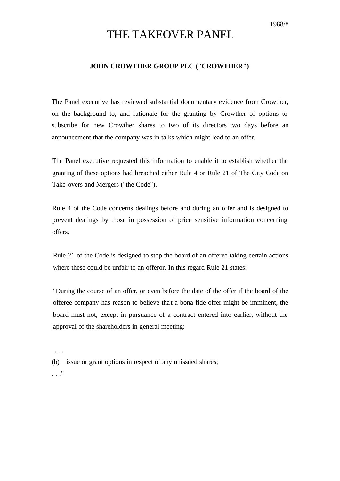1988/8

## THE TAKEOVER PANEL

## **JOHN CROWTHER GROUP PLC ("CROWTHER")**

The Panel executive has reviewed substantial documentary evidence from Crowther, on the background to, and rationale for the granting by Crowther of options to subscribe for new Crowther shares to two of its directors two days before an announcement that the company was in talks which might lead to an offer.

The Panel executive requested this information to enable it to establish whether the granting of these options had breached either Rule 4 or Rule 21 of The City Code on Take-overs and Mergers ("the Code").

Rule 4 of the Code concerns dealings before and during an offer and is designed to prevent dealings by those in possession of price sensitive information concerning offers.

Rule 21 of the Code is designed to stop the board of an offeree taking certain actions where these could be unfair to an offeror. In this regard Rule 21 states:-

"During the course of an offer, or even before the date of the offer if the board of the offeree company has reason to believe tha t a bona fide offer might be imminent, the board must not, except in pursuance of a contract entered into earlier, without the approval of the shareholders in general meeting:-

. . .

(b) issue or grant options in respect of any unissued shares;

. . ."